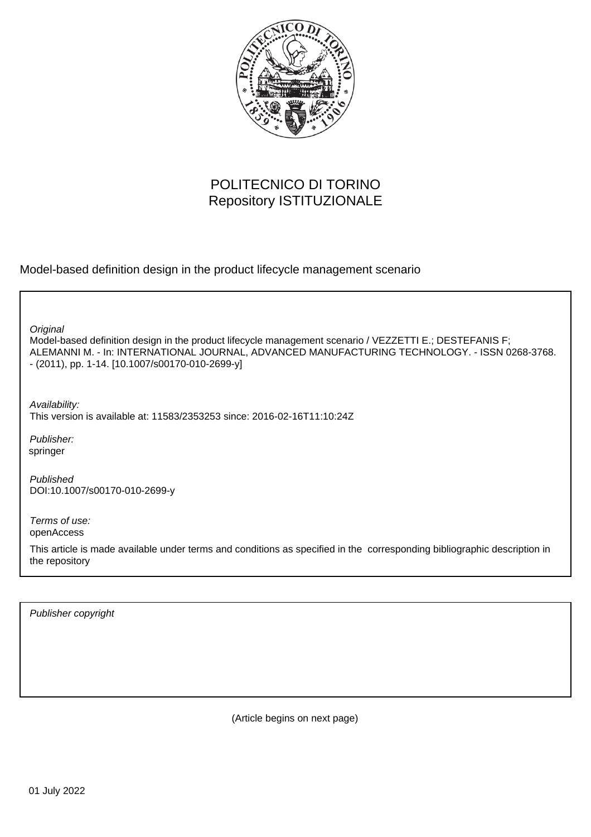

# POLITECNICO DI TORINO Repository ISTITUZIONALE

Model-based definition design in the product lifecycle management scenario

Model-based definition design in the product lifecycle management scenario / VEZZETTI E.; DESTEFANIS F; ALEMANNI M. - In: INTERNATIONAL JOURNAL, ADVANCED MANUFACTURING TECHNOLOGY. - ISSN 0268-3768. - (2011), pp. 1-14. [10.1007/s00170-010-2699-y] **Original** 

Availability: This version is available at: 11583/2353253 since: 2016-02-16T11:10:24Z

Publisher: springer

Published DOI:10.1007/s00170-010-2699-y

Terms of use: openAccess

This article is made available under terms and conditions as specified in the corresponding bibliographic description in the repository

Publisher copyright

(Article begins on next page)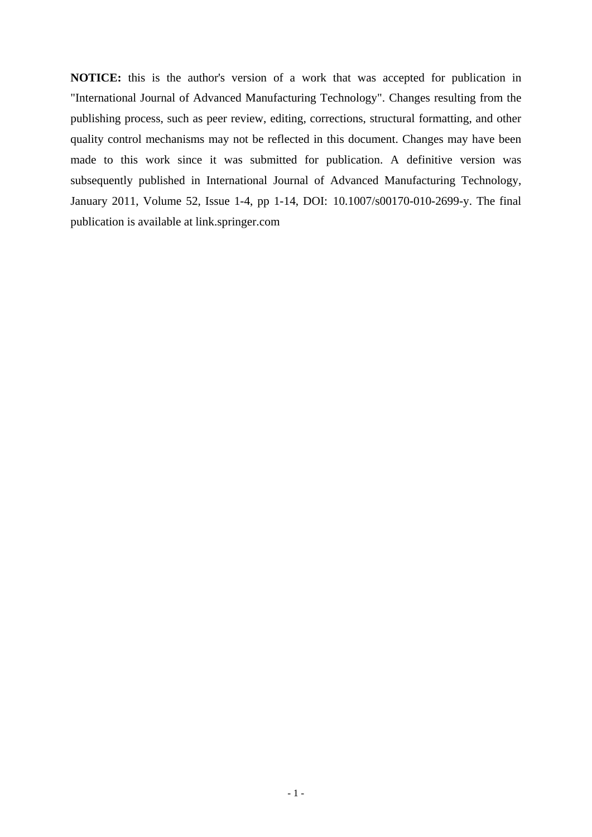**NOTICE:** this is the author's version of a work that was accepted for publication in "International Journal of Advanced Manufacturing Technology". Changes resulting from the publishing process, such as peer review, editing, corrections, structural formatting, and other quality control mechanisms may not be reflected in this document. Changes may have been made to this work since it was submitted for publication. A definitive version was subsequently published in International Journal of Advanced Manufacturing Technology, January 2011, Volume 52, Issue 1-4, pp 1-14, DOI: 10.1007/s00170-010-2699-y. The final publication is available at link.springer.com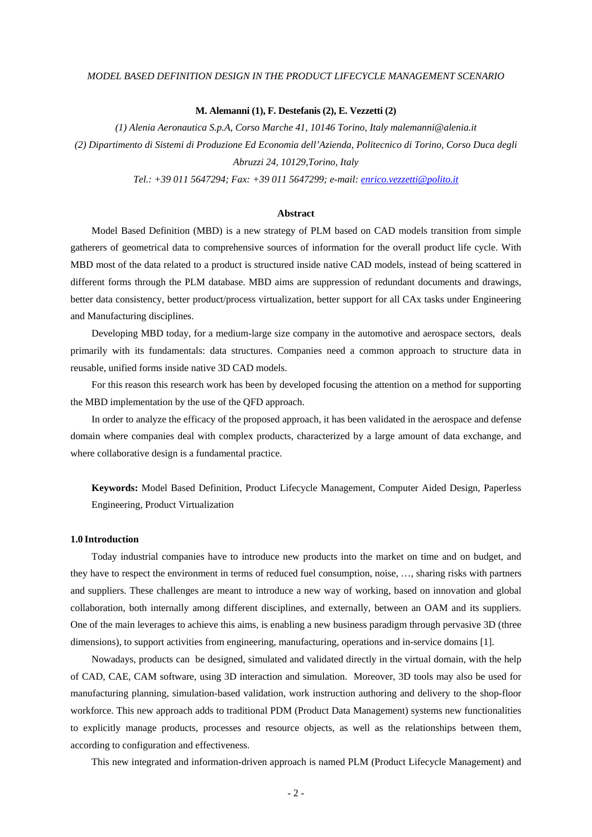### *MODEL BASED DEFINITION DESIGN IN THE PRODUCT LIFECYCLE MANAGEMENT SCENARIO*

#### **M. Alemanni (1), F. Destefanis (2), E. Vezzetti (2)**

*(1) Alenia Aeronautica S.p.A, Corso Marche 41, 10146 Torino, Italy malemanni@alenia.it (2) Dipartimento di Sistemi di Produzione Ed Economia dell'Azienda, Politecnico di Torino, Corso Duca degli Abruzzi 24, 10129,Torino, Italy* 

*Tel.: +39 011 5647294; Fax: +39 011 5647299; e-mail: enrico.vezzetti@polito.it*

### **Abstract**

Model Based Definition (MBD) is a new strategy of PLM based on CAD models transition from simple gatherers of geometrical data to comprehensive sources of information for the overall product life cycle. With MBD most of the data related to a product is structured inside native CAD models, instead of being scattered in different forms through the PLM database. MBD aims are suppression of redundant documents and drawings, better data consistency, better product/process virtualization, better support for all CAx tasks under Engineering and Manufacturing disciplines.

Developing MBD today, for a medium-large size company in the automotive and aerospace sectors, deals primarily with its fundamentals: data structures. Companies need a common approach to structure data in reusable, unified forms inside native 3D CAD models.

For this reason this research work has been by developed focusing the attention on a method for supporting the MBD implementation by the use of the QFD approach.

In order to analyze the efficacy of the proposed approach, it has been validated in the aerospace and defense domain where companies deal with complex products, characterized by a large amount of data exchange, and where collaborative design is a fundamental practice.

**Keywords:** Model Based Definition, Product Lifecycle Management, Computer Aided Design, Paperless Engineering, Product Virtualization

### **1.0 Introduction**

Today industrial companies have to introduce new products into the market on time and on budget, and they have to respect the environment in terms of reduced fuel consumption, noise, …, sharing risks with partners and suppliers. These challenges are meant to introduce a new way of working, based on innovation and global collaboration, both internally among different disciplines, and externally, between an OAM and its suppliers. One of the main leverages to achieve this aims, is enabling a new business paradigm through pervasive 3D (three dimensions), to support activities from engineering, manufacturing, operations and in-service domains [1].

Nowadays, products can be designed, simulated and validated directly in the virtual domain, with the help of CAD, CAE, CAM software, using 3D interaction and simulation. Moreover, 3D tools may also be used for manufacturing planning, simulation-based validation, work instruction authoring and delivery to the shop-floor workforce. This new approach adds to traditional PDM (Product Data Management) systems new functionalities to explicitly manage products, processes and resource objects, as well as the relationships between them, according to configuration and effectiveness.

This new integrated and information-driven approach is named PLM (Product Lifecycle Management) and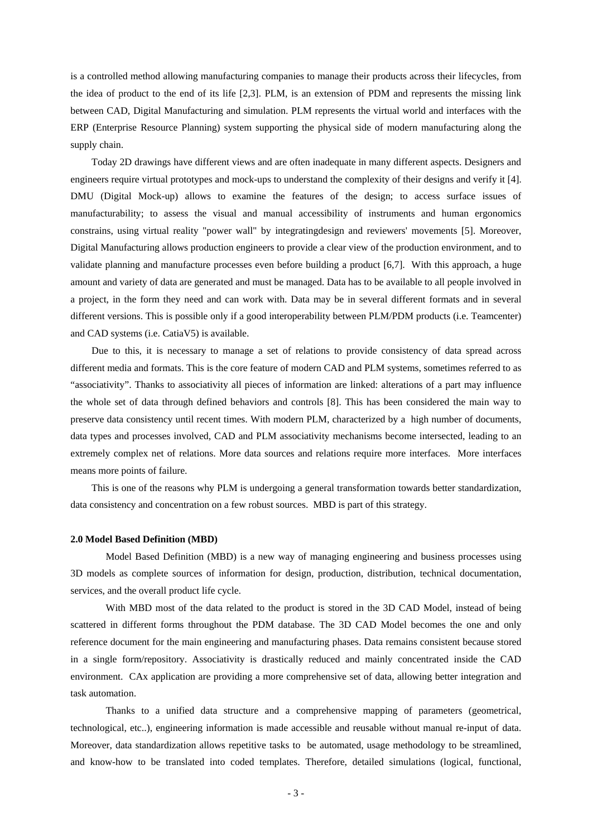is a controlled method allowing manufacturing companies to manage their products across their lifecycles, from the idea of product to the end of its life [2,3]. PLM, is an extension of PDM and represents the missing link between CAD, Digital Manufacturing and simulation. PLM represents the virtual world and interfaces with the ERP (Enterprise Resource Planning) system supporting the physical side of modern manufacturing along the supply chain.

Today 2D drawings have different views and are often inadequate in many different aspects. Designers and engineers require virtual prototypes and mock-ups to understand the complexity of their designs and verify it [4]. DMU (Digital Mock-up) allows to examine the features of the design; to access surface issues of manufacturability; to assess the visual and manual accessibility of instruments and human ergonomics constrains, using virtual reality "power wall" by integratingdesign and reviewers' movements [5]. Moreover, Digital Manufacturing allows production engineers to provide a clear view of the production environment, and to validate planning and manufacture processes even before building a product [6,7]. With this approach, a huge amount and variety of data are generated and must be managed. Data has to be available to all people involved in a project, in the form they need and can work with. Data may be in several different formats and in several different versions. This is possible only if a good interoperability between PLM/PDM products (i.e. Teamcenter) and CAD systems (i.e. CatiaV5) is available.

Due to this, it is necessary to manage a set of relations to provide consistency of data spread across different media and formats. This is the core feature of modern CAD and PLM systems, sometimes referred to as "associativity". Thanks to associativity all pieces of information are linked: alterations of a part may influence the whole set of data through defined behaviors and controls [8]. This has been considered the main way to preserve data consistency until recent times. With modern PLM, characterized by a high number of documents, data types and processes involved, CAD and PLM associativity mechanisms become intersected, leading to an extremely complex net of relations. More data sources and relations require more interfaces. More interfaces means more points of failure.

This is one of the reasons why PLM is undergoing a general transformation towards better standardization, data consistency and concentration on a few robust sources. MBD is part of this strategy.

### **2.0 Model Based Definition (MBD)**

Model Based Definition (MBD) is a new way of managing engineering and business processes using 3D models as complete sources of information for design, production, distribution, technical documentation, services, and the overall product life cycle.

With MBD most of the data related to the product is stored in the 3D CAD Model, instead of being scattered in different forms throughout the PDM database. The 3D CAD Model becomes the one and only reference document for the main engineering and manufacturing phases. Data remains consistent because stored in a single form/repository. Associativity is drastically reduced and mainly concentrated inside the CAD environment. CAx application are providing a more comprehensive set of data, allowing better integration and task automation.

Thanks to a unified data structure and a comprehensive mapping of parameters (geometrical, technological, etc..), engineering information is made accessible and reusable without manual re-input of data. Moreover, data standardization allows repetitive tasks to be automated, usage methodology to be streamlined, and know-how to be translated into coded templates. Therefore, detailed simulations (logical, functional,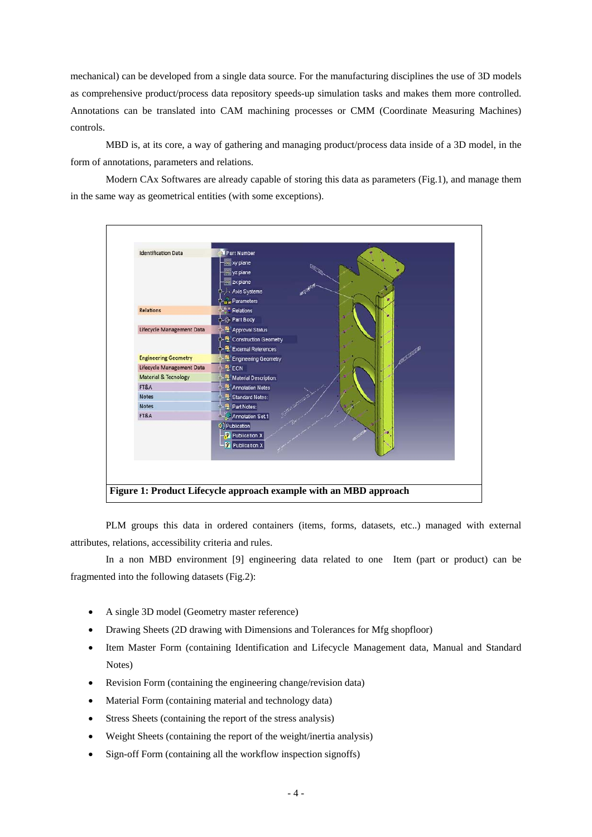mechanical) can be developed from a single data source. For the manufacturing disciplines the use of 3D models as comprehensive product/process data repository speeds-up simulation tasks and makes them more controlled. Annotations can be translated into CAM machining processes or CMM (Coordinate Measuring Machines) controls.

MBD is, at its core, a way of gathering and managing product/process data inside of a 3D model, in the form of annotations, parameters and relations.

Modern CAx Softwares are already capable of storing this data as parameters (Fig.1), and manage them in the same way as geometrical entities (with some exceptions).



PLM groups this data in ordered containers (items, forms, datasets, etc..) managed with external attributes, relations, accessibility criteria and rules.

In a non MBD environment [9] engineering data related to one Item (part or product) can be fragmented into the following datasets (Fig.2):

- A single 3D model (Geometry master reference)
- Drawing Sheets (2D drawing with Dimensions and Tolerances for Mfg shopfloor)
- Item Master Form (containing Identification and Lifecycle Management data, Manual and Standard Notes)
- Revision Form (containing the engineering change/revision data)
- Material Form (containing material and technology data)
- Stress Sheets (containing the report of the stress analysis)
- Weight Sheets (containing the report of the weight/inertia analysis)
- Sign-off Form (containing all the workflow inspection signoffs)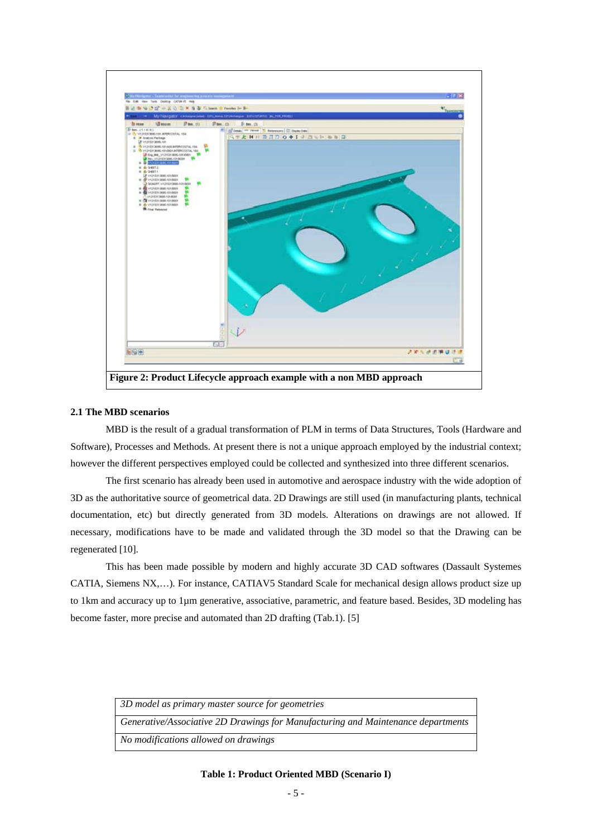

### **2.1 The MBD scenarios**

MBD is the result of a gradual transformation of PLM in terms of Data Structures, Tools (Hardware and Software), Processes and Methods. At present there is not a unique approach employed by the industrial context; however the different perspectives employed could be collected and synthesized into three different scenarios.

The first scenario has already been used in automotive and aerospace industry with the wide adoption of 3D as the authoritative source of geometrical data. 2D Drawings are still used (in manufacturing plants, technical documentation, etc) but directly generated from 3D models. Alterations on drawings are not allowed. If necessary, modifications have to be made and validated through the 3D model so that the Drawing can be regenerated [10].

This has been made possible by modern and highly accurate 3D CAD softwares (Dassault Systemes CATIA, Siemens NX,…). For instance, CATIAV5 Standard Scale for mechanical design allows product size up to 1km and accuracy up to 1µm generative, associative, parametric, and feature based. Besides, 3D modeling has become faster, more precise and automated than 2D drafting (Tab.1). [5]

| 3D model as primary master source for geometries                                 |
|----------------------------------------------------------------------------------|
| Generative/Associative 2D Drawings for Manufacturing and Maintenance departments |
| No modifications allowed on drawings                                             |

### **Table 1: Product Oriented MBD (Scenario I)**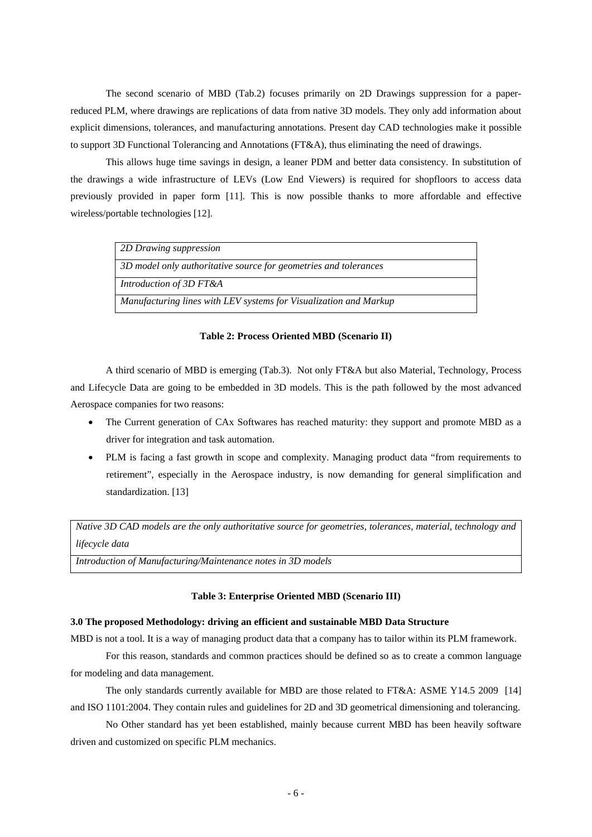The second scenario of MBD (Tab.2) focuses primarily on 2D Drawings suppression for a paperreduced PLM, where drawings are replications of data from native 3D models. They only add information about explicit dimensions, tolerances, and manufacturing annotations. Present day CAD technologies make it possible to support 3D Functional Tolerancing and Annotations (FT&A), thus eliminating the need of drawings.

This allows huge time savings in design, a leaner PDM and better data consistency. In substitution of the drawings a wide infrastructure of LEVs (Low End Viewers) is required for shopfloors to access data previously provided in paper form [11]. This is now possible thanks to more affordable and effective wireless/portable technologies [12].

| 2D Drawing suppression                                            |
|-------------------------------------------------------------------|
| 3D model only authoritative source for geometries and tolerances  |
| Introduction of 3D FT&A                                           |
| Manufacturing lines with LEV systems for Visualization and Markup |

### **Table 2: Process Oriented MBD (Scenario II)**

A third scenario of MBD is emerging (Tab.3). Not only FT&A but also Material, Technology, Process and Lifecycle Data are going to be embedded in 3D models. This is the path followed by the most advanced Aerospace companies for two reasons:

- The Current generation of CAx Softwares has reached maturity: they support and promote MBD as a driver for integration and task automation.
- PLM is facing a fast growth in scope and complexity. Managing product data "from requirements to retirement", especially in the Aerospace industry, is now demanding for general simplification and standardization. [13]

*Native 3D CAD models are the only authoritative source for geometries, tolerances, material, technology and lifecycle data* 

*Introduction of Manufacturing/Maintenance notes in 3D models* 

### **Table 3: Enterprise Oriented MBD (Scenario III)**

### **3.0 The proposed Methodology: driving an efficient and sustainable MBD Data Structure**

MBD is not a tool. It is a way of managing product data that a company has to tailor within its PLM framework.

For this reason, standards and common practices should be defined so as to create a common language for modeling and data management.

The only standards currently available for MBD are those related to FT&A: ASME Y14.5 2009 [14] and ISO 1101:2004. They contain rules and guidelines for 2D and 3D geometrical dimensioning and tolerancing.

No Other standard has yet been established, mainly because current MBD has been heavily software driven and customized on specific PLM mechanics.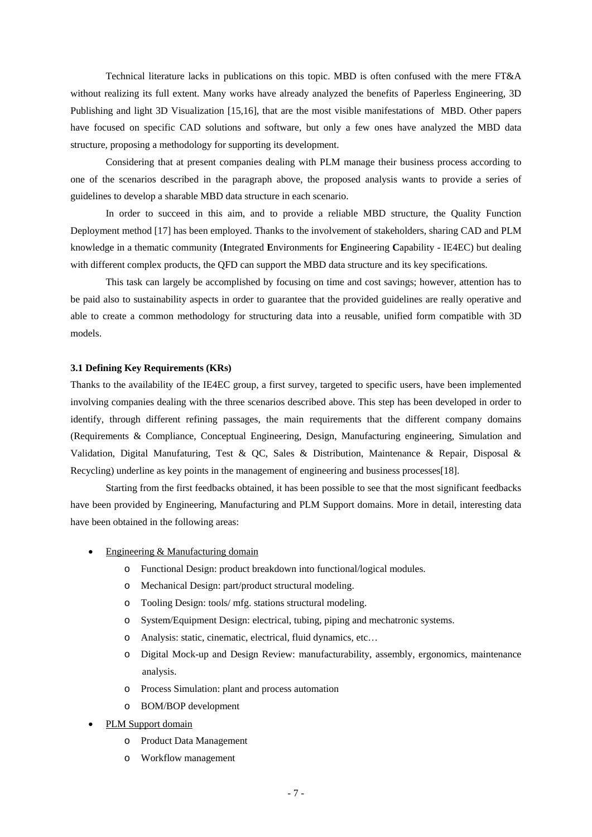Technical literature lacks in publications on this topic. MBD is often confused with the mere FT&A without realizing its full extent. Many works have already analyzed the benefits of Paperless Engineering, 3D Publishing and light 3D Visualization [15,16], that are the most visible manifestations of MBD. Other papers have focused on specific CAD solutions and software, but only a few ones have analyzed the MBD data structure, proposing a methodology for supporting its development.

Considering that at present companies dealing with PLM manage their business process according to one of the scenarios described in the paragraph above, the proposed analysis wants to provide a series of guidelines to develop a sharable MBD data structure in each scenario.

In order to succeed in this aim, and to provide a reliable MBD structure, the Quality Function Deployment method [17] has been employed. Thanks to the involvement of stakeholders, sharing CAD and PLM knowledge in a thematic community (**I**ntegrated **E**nvironments for **E**ngineering **C**apability - IE4EC) but dealing with different complex products, the QFD can support the MBD data structure and its key specifications.

This task can largely be accomplished by focusing on time and cost savings; however, attention has to be paid also to sustainability aspects in order to guarantee that the provided guidelines are really operative and able to create a common methodology for structuring data into a reusable, unified form compatible with 3D models.

### **3.1 Defining Key Requirements (KRs)**

Thanks to the availability of the IE4EC group, a first survey, targeted to specific users, have been implemented involving companies dealing with the three scenarios described above. This step has been developed in order to identify, through different refining passages, the main requirements that the different company domains (Requirements & Compliance, Conceptual Engineering, Design, Manufacturing engineering, Simulation and Validation, Digital Manufaturing, Test & QC, Sales & Distribution, Maintenance & Repair, Disposal & Recycling) underline as key points in the management of engineering and business processes[18].

Starting from the first feedbacks obtained, it has been possible to see that the most significant feedbacks have been provided by Engineering, Manufacturing and PLM Support domains. More in detail, interesting data have been obtained in the following areas:

- Engineering & Manufacturing domain
	- o Functional Design: product breakdown into functional/logical modules.
	- o Mechanical Design: part/product structural modeling.
	- o Tooling Design: tools/ mfg. stations structural modeling.
	- o System/Equipment Design: electrical, tubing, piping and mechatronic systems.
	- o Analysis: static, cinematic, electrical, fluid dynamics, etc…
	- o Digital Mock-up and Design Review: manufacturability, assembly, ergonomics, maintenance analysis.
	- o Process Simulation: plant and process automation
	- o BOM/BOP development
- PLM Support domain
	- o Product Data Management
	- o Workflow management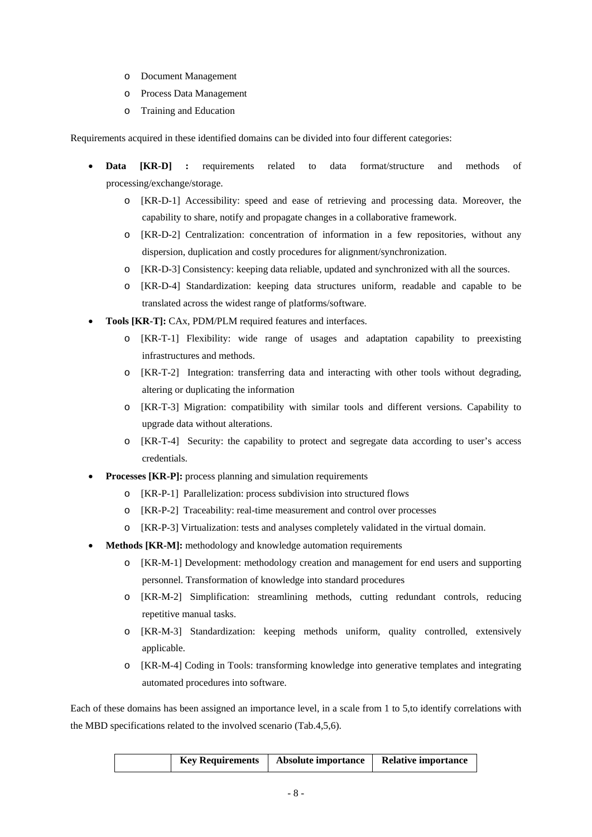- o Document Management
- o Process Data Management
- o Training and Education

Requirements acquired in these identified domains can be divided into four different categories:

- **Data [KR-D] :** requirements related to data format/structure and methods of processing/exchange/storage.
	- o [KR-D-1] Accessibility: speed and ease of retrieving and processing data. Moreover, the capability to share, notify and propagate changes in a collaborative framework.
	- o [KR-D-2] Centralization: concentration of information in a few repositories, without any dispersion, duplication and costly procedures for alignment/synchronization.
	- o [KR-D-3] Consistency: keeping data reliable, updated and synchronized with all the sources.
	- o [KR-D-4] Standardization: keeping data structures uniform, readable and capable to be translated across the widest range of platforms/software.
- **Tools [KR-T]:** CAx, PDM/PLM required features and interfaces.
	- o [KR-T-1] Flexibility: wide range of usages and adaptation capability to preexisting infrastructures and methods.
	- o [KR-T-2] Integration: transferring data and interacting with other tools without degrading, altering or duplicating the information
	- o [KR-T-3] Migration: compatibility with similar tools and different versions. Capability to upgrade data without alterations.
	- o [KR-T-4] Security: the capability to protect and segregate data according to user's access credentials.
- **Processes [KR-P]:** process planning and simulation requirements
	- o [KR-P-1] Parallelization: process subdivision into structured flows
	- o [KR-P-2] Traceability: real-time measurement and control over processes
	- o [KR-P-3] Virtualization: tests and analyses completely validated in the virtual domain.
- **Methods [KR-M]:** methodology and knowledge automation requirements
	- o [KR-M-1] Development: methodology creation and management for end users and supporting personnel. Transformation of knowledge into standard procedures
	- o [KR-M-2] Simplification: streamlining methods, cutting redundant controls, reducing repetitive manual tasks.
	- o [KR-M-3] Standardization: keeping methods uniform, quality controlled, extensively applicable.
	- o [KR-M-4] Coding in Tools: transforming knowledge into generative templates and integrating automated procedures into software.

Each of these domains has been assigned an importance level, in a scale from 1 to 5,to identify correlations with the MBD specifications related to the involved scenario (Tab.4,5,6).

|  | <b>Key Requirements</b> | Absolute importance | <b>Relative importance</b> |
|--|-------------------------|---------------------|----------------------------|
|--|-------------------------|---------------------|----------------------------|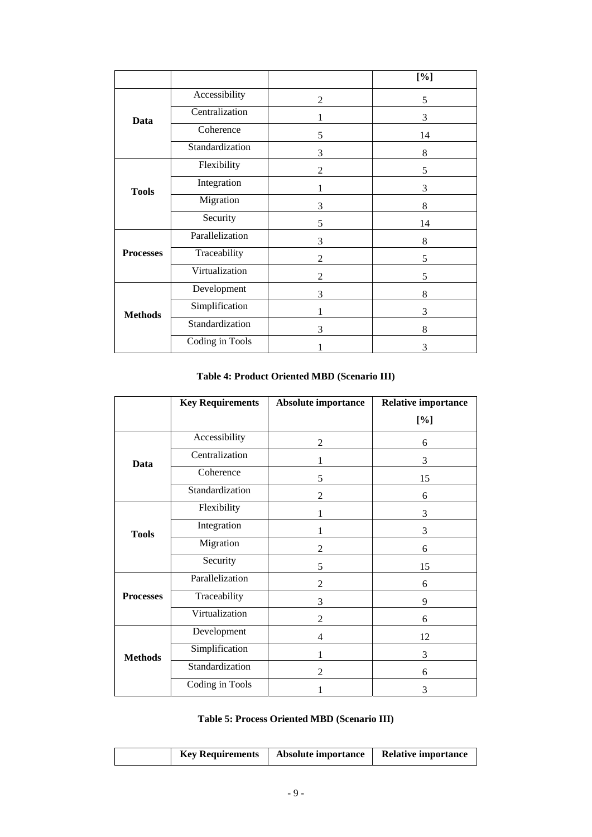|                  |                 |                | [%] |
|------------------|-----------------|----------------|-----|
|                  | Accessibility   | $\overline{c}$ | 5   |
| Data             | Centralization  |                | 3   |
|                  | Coherence       | 5              | 14  |
|                  | Standardization | 3              | 8   |
|                  | Flexibility     | $\overline{2}$ | 5   |
| <b>Tools</b>     | Integration     |                | 3   |
|                  | Migration       | 3              | 8   |
|                  | Security        | 5              | 14  |
|                  | Parallelization | 3              | 8   |
| <b>Processes</b> | Traceability    | $\mathfrak{D}$ | 5   |
|                  | Virtualization  | 2              | 5   |
|                  | Development     | 3              | 8   |
| <b>Methods</b>   | Simplification  |                | 3   |
|                  | Standardization | 3              | 8   |
|                  | Coding in Tools |                | 3   |

# **Table 4: Product Oriented MBD (Scenario III)**

|                  | <b>Key Requirements</b> | Absolute importance | <b>Relative importance</b> |
|------------------|-------------------------|---------------------|----------------------------|
|                  |                         |                     | [%]                        |
|                  | Accessibility           | 2                   | 6                          |
| Data             | Centralization          | 1                   | 3                          |
|                  | Coherence               | 5                   | 15                         |
|                  | Standardization         | $\overline{2}$      | 6                          |
|                  | Flexibility             | 1                   | 3                          |
| <b>Tools</b>     | Integration             | 1                   | 3                          |
|                  | Migration               | 2                   | 6                          |
|                  | Security                | 5                   | 15                         |
|                  | Parallelization         | 2                   | 6                          |
| <b>Processes</b> | Traceability            | 3                   | 9                          |
|                  | Virtualization          | $\overline{2}$      | 6                          |
|                  | Development             | 4                   | 12                         |
| <b>Methods</b>   | Simplification          | 1                   | 3                          |
|                  | Standardization         | 2                   | 6                          |
|                  | Coding in Tools         |                     | 3                          |

# **Table 5: Process Oriented MBD (Scenario III)**

|  |  | <b>Key Requirements</b> | Absolute importance | <b>Relative importance</b> |
|--|--|-------------------------|---------------------|----------------------------|
|--|--|-------------------------|---------------------|----------------------------|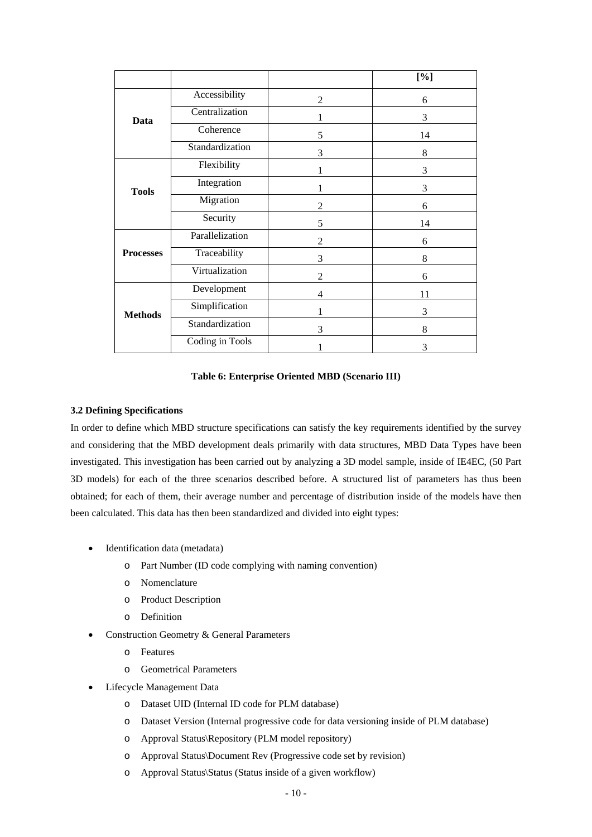|                  |                 |                | [%] |
|------------------|-----------------|----------------|-----|
|                  | Accessibility   | $\overline{2}$ | 6   |
| Data             | Centralization  |                | 3   |
|                  | Coherence       | 5              | 14  |
|                  | Standardization | 3              | 8   |
|                  | Flexibility     |                | 3   |
| <b>Tools</b>     | Integration     |                | 3   |
|                  | Migration       | 2              | 6   |
|                  | Security        | 5              | 14  |
|                  | Parallelization | $\overline{2}$ | 6   |
| <b>Processes</b> | Traceability    | 3              | 8   |
|                  | Virtualization  | 2              | 6   |
|                  | Development     | 4              | 11  |
| <b>Methods</b>   | Simplification  |                | 3   |
|                  | Standardization | 3              | 8   |
|                  | Coding in Tools |                | 3   |

## **Table 6: Enterprise Oriented MBD (Scenario III)**

## **3.2 Defining Specifications**

In order to define which MBD structure specifications can satisfy the key requirements identified by the survey and considering that the MBD development deals primarily with data structures, MBD Data Types have been investigated. This investigation has been carried out by analyzing a 3D model sample, inside of IE4EC, (50 Part 3D models) for each of the three scenarios described before. A structured list of parameters has thus been obtained; for each of them, their average number and percentage of distribution inside of the models have then been calculated. This data has then been standardized and divided into eight types:

- Identification data (metadata)
	- o Part Number (ID code complying with naming convention)
	- o Nomenclature
	- o Product Description
	- o Definition
- Construction Geometry & General Parameters
	- o Features
	- o Geometrical Parameters
- Lifecycle Management Data
	- o Dataset UID (Internal ID code for PLM database)
	- o Dataset Version (Internal progressive code for data versioning inside of PLM database)
	- o Approval Status\Repository (PLM model repository)
	- o Approval Status\Document Rev (Progressive code set by revision)
	- o Approval Status\Status (Status inside of a given workflow)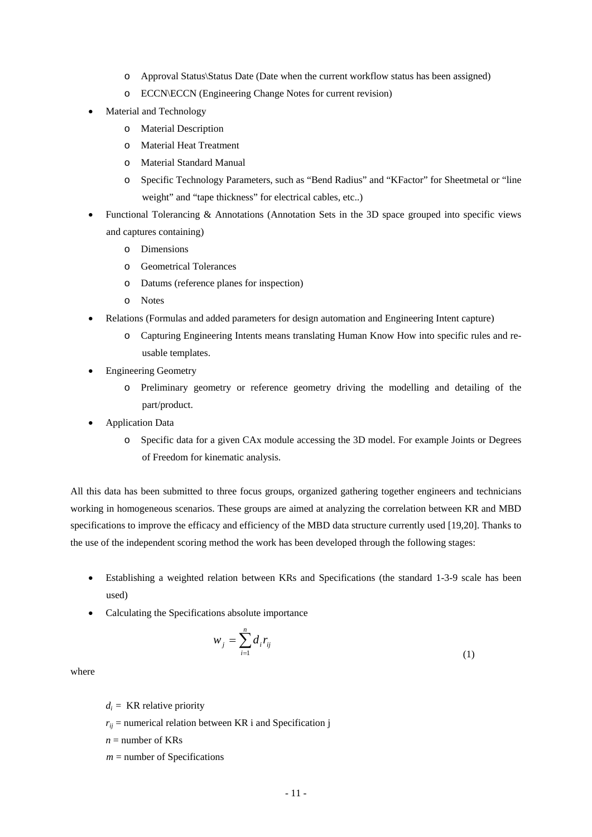- o Approval Status\Status Date (Date when the current workflow status has been assigned)
- o ECCN\ECCN (Engineering Change Notes for current revision)
- Material and Technology
	- o Material Description
	- o Material Heat Treatment
	- o Material Standard Manual
	- o Specific Technology Parameters, such as "Bend Radius" and "KFactor" for Sheetmetal or "line weight" and "tape thickness" for electrical cables, etc..)
- Functional Tolerancing & Annotations (Annotation Sets in the 3D space grouped into specific views and captures containing)
	- o Dimensions
	- o Geometrical Tolerances
	- o Datums (reference planes for inspection)
	- o Notes
- Relations (Formulas and added parameters for design automation and Engineering Intent capture)
	- o Capturing Engineering Intents means translating Human Know How into specific rules and reusable templates.
- Engineering Geometry
	- o Preliminary geometry or reference geometry driving the modelling and detailing of the part/product.
- Application Data
	- o Specific data for a given CAx module accessing the 3D model. For example Joints or Degrees of Freedom for kinematic analysis.

All this data has been submitted to three focus groups, organized gathering together engineers and technicians working in homogeneous scenarios. These groups are aimed at analyzing the correlation between KR and MBD specifications to improve the efficacy and efficiency of the MBD data structure currently used [19,20]. Thanks to the use of the independent scoring method the work has been developed through the following stages:

- Establishing a weighted relation between KRs and Specifications (the standard 1-3-9 scale has been used)
- Calculating the Specifications absolute importance

$$
w_j = \sum_{i=1}^n d_i r_{ij} \tag{1}
$$

where

 $d_i$  = KR relative priority

 $r_{ij}$  = numerical relation between KR i and Specification j

 $n =$  number of KRs

 $m =$  number of Specifications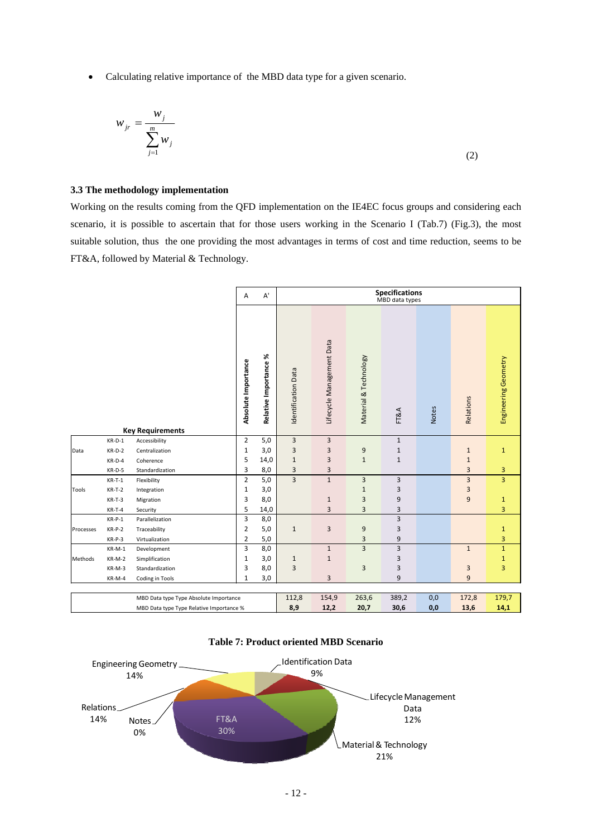Calculating relative importance of the MBD data type for a given scenario.

$$
w_{jr} = \frac{w_j}{\sum_{j=1}^{m} w_j}
$$
 (2)

# **3.3 The methodology implementation**

Working on the results coming from the QFD implementation on the IE4EC focus groups and considering each scenario, it is possible to ascertain that for those users working in the Scenario I (Tab.7) (Fig.3), the most suitable solution, thus the one providing the most advantages in terms of cost and time reduction, seems to be FT&A, followed by Material & Technology.

|           |          |                                          | Α                   | $\mathsf{A}^{\mathsf{r}}$ |                     |                           |                       | <b>Specifications</b><br>MBD data types |              |                         |                      |
|-----------|----------|------------------------------------------|---------------------|---------------------------|---------------------|---------------------------|-----------------------|-----------------------------------------|--------------|-------------------------|----------------------|
|           |          | <b>Key Requirements</b>                  | Absolute Importance | Relative Importance %     | Identification Data | Lifecycle Management Data | Material & Technology | FT&A                                    | <b>Notes</b> | Relations               | Engineering Geometry |
|           | $KR-D-1$ | Accessibility                            | $\overline{2}$      | 5,0                       | 3                   | 3                         |                       | $\mathbf{1}$                            |              |                         |                      |
| Data      | $KR-D-2$ | Centralization                           | $\mathbf{1}$        | 3,0                       | 3                   | 3                         | 9                     | $\mathbf 1$                             |              | $\mathbf 1$             | $1\,$                |
|           | $KR-D-4$ | Coherence                                | 5                   | 14,0                      | $\mathbf 1$         | 3                         | $\mathbf{1}$          | $\mathbf 1$                             |              | $\mathbf 1$             |                      |
|           | $KR-D-5$ | Standardization                          | 3                   | 8,0                       | 3                   | 3                         |                       |                                         |              | 3                       | 3                    |
|           | $KR-T-1$ | Flexibility                              | $\overline{2}$      | 5,0                       | $\overline{3}$      | $\mathbf{1}$              | $\overline{3}$        | 3                                       |              | $\overline{\mathbf{3}}$ | $\overline{3}$       |
| Tools     | $KR-T-2$ | Integration                              | $\mathbf{1}$        | 3,0                       |                     |                           | $\mathbf{1}$          | 3                                       |              | 3                       |                      |
|           | $KR-T-3$ | Migration                                | 3                   | 8,0                       |                     | $\mathbf{1}$              | 3                     | 9                                       |              | $\overline{9}$          | $\mathbf{1}$         |
|           | $KR-T-4$ | Security                                 | 5                   | 14,0                      |                     | 3                         | 3                     | 3                                       |              |                         | 3                    |
|           | $KR-P-1$ | Parallelization                          | 3                   | 8,0                       |                     |                           |                       | 3                                       |              |                         |                      |
| Processes | $KR-P-2$ | Traceability                             | $\overline{2}$      | 5,0                       | $\mathbf 1$         | 3                         | 9                     | 3                                       |              |                         | $\mathbf{1}$         |
|           | $KR-P-3$ | Virtualization                           | $\overline{2}$      | 5,0                       |                     |                           | 3                     | $\boldsymbol{9}$                        |              |                         | 3                    |
|           | $KR-M-1$ | Development                              | 3                   | 8,0                       |                     | $1\,$                     | $\overline{3}$        | 3                                       |              | $\mathbf{1}$            | $\mathbf{1}$         |
| Methods   | KR-M-2   | Simplification                           | $\mathbf{1}$        | 3,0                       | $1\,$               | $\mathbf 1$               |                       | 3                                       |              |                         | $\mathbf{1}$         |
|           | KR-M-3   | Standardization                          | 3                   | 8,0                       | 3                   |                           | 3                     | 3                                       |              | 3                       | 3                    |
|           | KR-M-4   | Coding in Tools                          | $\mathbf{1}$        | 3,0                       |                     | 3                         |                       | 9                                       |              | 9                       |                      |
|           |          |                                          |                     |                           |                     |                           |                       |                                         |              |                         |                      |
|           |          | MBD Data type Type Absolute Importance   |                     |                           | 112,8               | 154,9                     | 263,6                 | 389,2                                   | 0,0          | 172,8                   | 179,7                |
|           |          | MBD Data type Type Relative Importance % |                     |                           | 8,9                 | 12,2                      | 20,7                  | 30,6                                    | 0,0          | 13,6                    | 14,1                 |



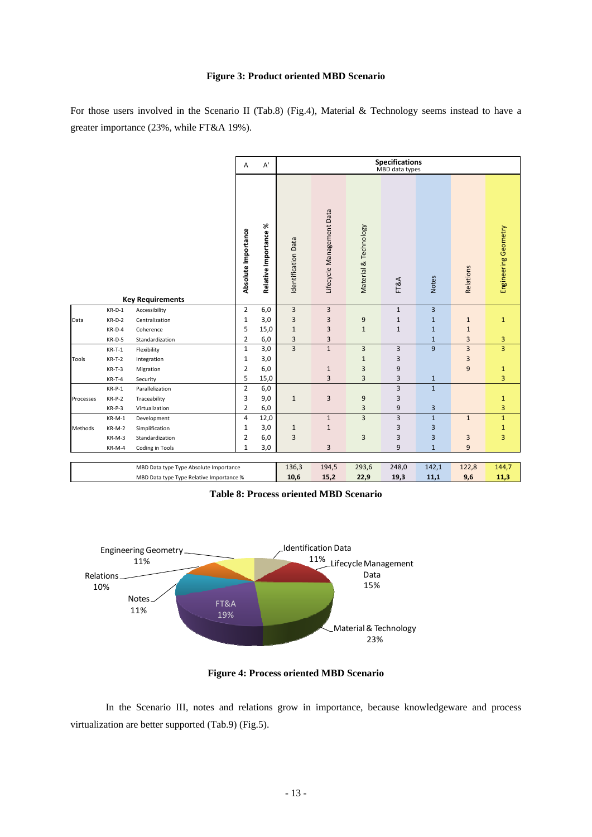# **Figure 3: Product oriented MBD Scenario**

For those users involved in the Scenario II (Tab.8) (Fig.4), Material & Technology seems instead to have a greater importance (23%, while FT&A 19%).

|           |          |                                          | Α                   | $\mathsf{A}^{\mathsf{r}}$ |                     |                           |                       | <b>Specifications</b><br>MBD data types |                         |              |                      |
|-----------|----------|------------------------------------------|---------------------|---------------------------|---------------------|---------------------------|-----------------------|-----------------------------------------|-------------------------|--------------|----------------------|
|           |          |                                          | Absolute Importance | ৯<br>Relative Importance  | Identification Data | Lifecycle Management Data | Material & Technology | FT&A                                    | <b>Notes</b>            | Relations    | Engineering Geometry |
|           |          | <b>Key Requirements</b>                  |                     |                           |                     |                           |                       |                                         |                         |              |                      |
|           | $KR-D-1$ | Accessibility                            | $\overline{2}$      | 6,0                       | 3                   | 3                         |                       | $1\,$                                   | $\overline{3}$          |              |                      |
| Data      | $KR-D-2$ | Centralization                           | $\mathbf 1$         | 3,0                       | 3                   | 3                         | 9                     | $1\,$                                   | $1\,$                   | $\mathbf 1$  | $\mathbf 1$          |
|           | $KR-D-4$ | Coherence                                | 5                   | 15,0                      | $\mathbf{1}$        | 3                         | $\mathbf{1}$          | $1\,$                                   | $1\,$                   | $\mathbf{1}$ |                      |
|           | KR-D-5   | Standardization                          | $\overline{2}$      | 6,0                       | 3                   | 3                         |                       |                                         | $1\,$                   | 3            | 3                    |
|           | $KR-T-1$ | Flexibility                              | $\mathbf 1$         | 3,0                       | $\overline{3}$      | $\mathbf 1$               | 3                     | 3                                       | $\overline{9}$          | 3            | 3                    |
| Tools     | $KR-T-2$ | Integration                              | $\mathbf{1}$        | 3,0                       |                     |                           | $\mathbf{1}$          | 3                                       |                         | 3            |                      |
|           | $KR-T-3$ | Migration                                | 2                   | 6,0                       |                     | $\mathbf{1}$              | 3                     | 9                                       |                         | 9            | $\mathbf{1}$         |
|           | $KR-T-4$ | Security                                 | 5                   | 15,0                      |                     | 3                         | 3                     | 3                                       | $\mathbf{1}$            |              | 3                    |
|           | $KR-P-1$ | Parallelization                          | $\overline{2}$      | 6,0                       |                     |                           |                       | 3                                       | $\mathbf{1}$            |              |                      |
| Processes | $KR-P-2$ | Traceability                             | 3                   | 9,0                       | $\mathbf{1}$        | 3                         | 9                     | 3                                       |                         |              | $1\,$                |
|           | $KR-P-3$ | Virtualization                           | 2                   | 6,0                       |                     |                           | 3                     | 9                                       | $\overline{\mathbf{3}}$ |              | 3                    |
|           | KR-M-1   | Development                              | $\overline{4}$      | 12,0                      |                     | $\mathbf{1}$              | $\overline{3}$        | $\overline{3}$                          | $\mathbf{1}$            | $\mathbf{1}$ | $\mathbf{1}$         |
| Methods   | KR-M-2   | Simplification                           | $\mathbf{1}$        | 3,0                       | $\mathbf{1}$        | $1\,$                     |                       | 3                                       | 3                       |              | $\mathbf 1$          |
|           | KR-M-3   | Standardization                          | $\overline{2}$      | 6,0                       | 3                   |                           | 3                     | 3                                       | 3                       | 3            | 3                    |
|           | KR-M-4   | Coding in Tools                          | $\mathbf{1}$        | 3,0                       |                     | 3                         |                       | 9                                       | $\mathbf{1}$            | 9            |                      |
|           |          |                                          |                     |                           |                     |                           |                       |                                         |                         |              |                      |
|           |          | MBD Data type Type Absolute Importance   |                     |                           | 136,3               | 194,5                     | 293,6                 | 248,0                                   | 142,1                   | 122,8        | 144,7                |
|           |          | MBD Data type Type Relative Importance % |                     |                           | 10,6                | 15,2                      | 22,9                  | 19,3                                    | 11,1                    | 9,6          | 11,3                 |

**Table 8: Process oriented MBD Scenario** 



**Figure 4: Process oriented MBD Scenario** 

In the Scenario III, notes and relations grow in importance, because knowledgeware and process virtualization are better supported (Tab.9) (Fig.5).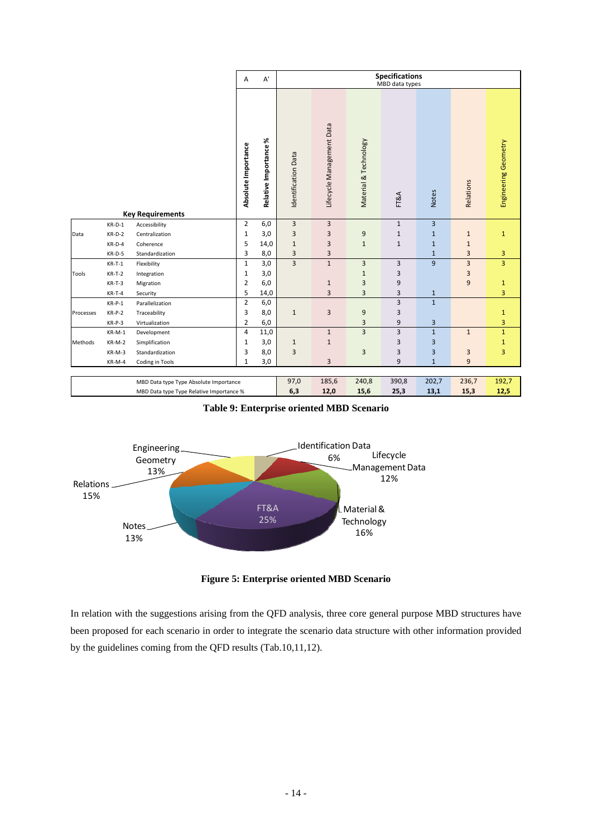|           |                                          |                                        | Α                   | A'                    |                     |                           |                       | <b>Specifications</b><br>MBD data types |              |                         |                      |
|-----------|------------------------------------------|----------------------------------------|---------------------|-----------------------|---------------------|---------------------------|-----------------------|-----------------------------------------|--------------|-------------------------|----------------------|
|           |                                          |                                        | Absolute Importance | Relative Importance % | Identification Data | Lifecycle Management Data | Material & Technology | FT&A                                    | <b>Notes</b> | Relations               | Engineering Geometry |
|           |                                          | <b>Key Requirements</b>                |                     |                       |                     |                           |                       |                                         |              |                         |                      |
|           | $KR-D-1$                                 | Accessibility                          | $\overline{2}$      | 6,0                   | 3                   | $\overline{\mathbf{3}}$   |                       | $\mathbf{1}$                            | 3            |                         |                      |
| Data      | $KR-D-2$                                 | Centralization                         | $\mathbf{1}$        | 3,0                   | 3                   | 3                         | 9                     | $\mathbf 1$                             | $\mathbf{1}$ | $\mathbf{1}$            | $\mathbf{1}$         |
|           | $KR-D-4$                                 | Coherence                              | 5                   | 14,0                  | $\mathbf{1}$        | 3                         | $\mathbf{1}$          | $\mathbf 1$                             | $\mathbf{1}$ | $\mathbf 1$             |                      |
|           | $KR-D-5$                                 | Standardization                        | 3                   | 8,0                   | 3                   | 3                         |                       |                                         | $\mathbf{1}$ | 3                       | 3                    |
|           | $KR-T-1$                                 | Flexibility                            | $\mathbf{1}$        | 3,0                   | $\overline{3}$      | $\mathbf 1$               | 3                     | 3                                       | 9            | $\overline{\mathbf{3}}$ | 3                    |
| Tools     | $KR-T-2$                                 | Integration                            | $\mathbf{1}$        | 3,0                   |                     |                           | $1\,$                 | 3                                       |              | 3                       |                      |
|           | $KR-T-3$                                 | Migration                              | 2                   | 6,0                   |                     | $\mathbf{1}$              | 3                     | 9                                       |              | 9                       | $\mathbf{1}$         |
|           | $KR-T-4$                                 | Security                               | 5                   | 14,0                  |                     | 3                         | 3                     | 3                                       | $\mathbf{1}$ |                         | 3                    |
|           | $KR-P-1$                                 | Parallelization                        | $\overline{2}$      | 6,0                   |                     |                           |                       | 3                                       | $\mathbf{1}$ |                         |                      |
| Processes | $KR-P-2$                                 | Traceability                           | 3                   | 8,0                   | $\mathbf{1}$        | $\mathbf{3}$              | 9                     | 3                                       |              |                         | $\mathbf{1}$         |
|           | $KR-P-3$                                 | Virtualization                         | $\overline{2}$      | 6,0                   |                     |                           | 3                     | $\boldsymbol{9}$                        | 3            |                         | 3                    |
|           | $KR-M-1$                                 | Development                            | 4                   | 11,0                  |                     | $\mathbf{1}$              | $\overline{3}$        | 3                                       | $\mathbf{1}$ | $\mathbf{1}$            | $\mathbf{1}$         |
| Methods   | $KR-M-2$                                 | Simplification                         | 1                   | 3,0                   | $\mathbf{1}$        | $1\,$                     |                       | 3                                       | 3            |                         | $\mathbf{1}$         |
|           | KR-M-3                                   | Standardization                        | 3                   | 8,0                   | 3                   |                           | 3                     | 3                                       | 3            | 3                       | 3                    |
|           | KR-M-4                                   | Coding in Tools                        | $\mathbf{1}$        | 3,0                   |                     | 3                         |                       | 9                                       | $\mathbf{1}$ | 9                       |                      |
|           |                                          |                                        |                     |                       |                     |                           |                       |                                         |              |                         |                      |
|           |                                          | MBD Data type Type Absolute Importance |                     |                       | 97,0                | 185,6                     | 240,8                 | 390,8                                   | 202,7        | 236,7                   | 192,7                |
|           | MBD Data type Type Relative Importance % |                                        |                     | 6,3                   | 12,0                | 15,6                      | 25,3                  | 13,1                                    | 15,3         | 12,5                    |                      |

**Table 9: Enterprise oriented MBD Scenario** 



**Figure 5: Enterprise oriented MBD Scenario** 

In relation with the suggestions arising from the QFD analysis, three core general purpose MBD structures have been proposed for each scenario in order to integrate the scenario data structure with other information provided by the guidelines coming from the QFD results (Tab.10,11,12).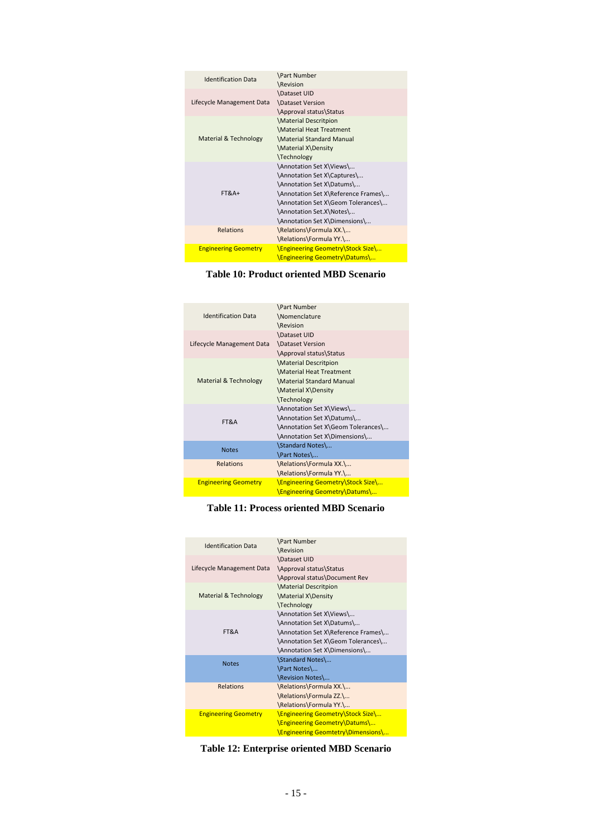| <b>Identification Data</b>  | <b>\Part Number</b>                      |
|-----------------------------|------------------------------------------|
|                             | \Revision                                |
|                             | Dataset UID                              |
| Lifecycle Management Data   | Dataset Version                          |
|                             | \Approval status\Status                  |
|                             | <b>Material Descritpion</b>              |
|                             | <b>Material Heat Treatment</b>           |
| Material & Technology       | \Material Standard Manual                |
|                             | \Material X\Density                      |
|                             | \Technology                              |
|                             | \Annotation Set X\Views\                 |
|                             | \Annotation Set X\Captures\              |
|                             | \Annotation Set X\Datums\                |
| $FT&A+$                     | \Annotation Set X\Reference Frames\      |
|                             | \Annotation Set X\Geom Tolerances\       |
|                             | \Annotation Set.X\Notes\                 |
|                             | \Annotation Set X\Dimensions\            |
| Relations                   | \Relations\Formula XX.\                  |
|                             | \Relations\Formula YY.\                  |
| <b>Engineering Geometry</b> | <b>\Engineering Geometry\Stock Size\</b> |
|                             | \Engineering Geometry\Datums\            |

# **Table 10: Product oriented MBD Scenario**

| <b>Identification Data</b>       | <b>\Part Number</b><br>\Nomenclature<br>\Revision                                                                                             |
|----------------------------------|-----------------------------------------------------------------------------------------------------------------------------------------------|
| Lifecycle Management Data        | Dataset UID<br><b>\Dataset Version</b><br>\Approval status\Status                                                                             |
| <b>Material &amp; Technology</b> | <b>Material Descritpion</b><br><b>Material Heat Treatment</b><br><b>\Material Standard Manual</b><br>\Material X\Density<br><b>Technology</b> |
| FT&A                             | \Annotation Set X\Views\<br>\Annotation Set X\Datums\<br>\Annotation Set X\Geom Tolerances\<br>\Annotation Set X\Dimensions\                  |
| <b>Notes</b>                     | \Standard Notes\<br>\Part Notes\                                                                                                              |
| <b>Relations</b>                 | \Relations\Formula XX.\<br>\Relations\Formula YY.\                                                                                            |
| <b>Engineering Geometry</b>      | <b>\Engineering Geometry\Stock Size\</b><br>\Engineering Geometry\Datums\                                                                     |

# **Table 11: Process oriented MBD Scenario**

| <b>Identification Data</b>  | \Part Number<br><b>\Revision</b>                                                                                                                                    |
|-----------------------------|---------------------------------------------------------------------------------------------------------------------------------------------------------------------|
| Lifecycle Management Data   | Dataset UID<br>\Approval status\Status<br>\Approval status\Document Rev                                                                                             |
| Material & Technology       | <b>Material Descritpion</b><br>\Material X\Density<br>\Technology                                                                                                   |
| FT&A                        | \Annotation Set X\Views\<br>\Annotation Set X\Datums\<br>\Annotation Set X\Reference Frames\<br>\Annotation Set X\Geom Tolerances\<br>\Annotation Set X\Dimensions\ |
| <b>Notes</b>                | \Standard Notes\<br>\Part Notes\<br>\Revision Notes\                                                                                                                |
| Relations                   | \Relations\Formula XX.\<br>\Relations\Formula ZZ.\<br>\Relations\Formula YY.\                                                                                       |
| <b>Engineering Geometry</b> | \Engineering Geometry\Stock Size\<br>\Engineering Geometry\Datums\<br>\Engineering Geomtetry\Dimensions\                                                            |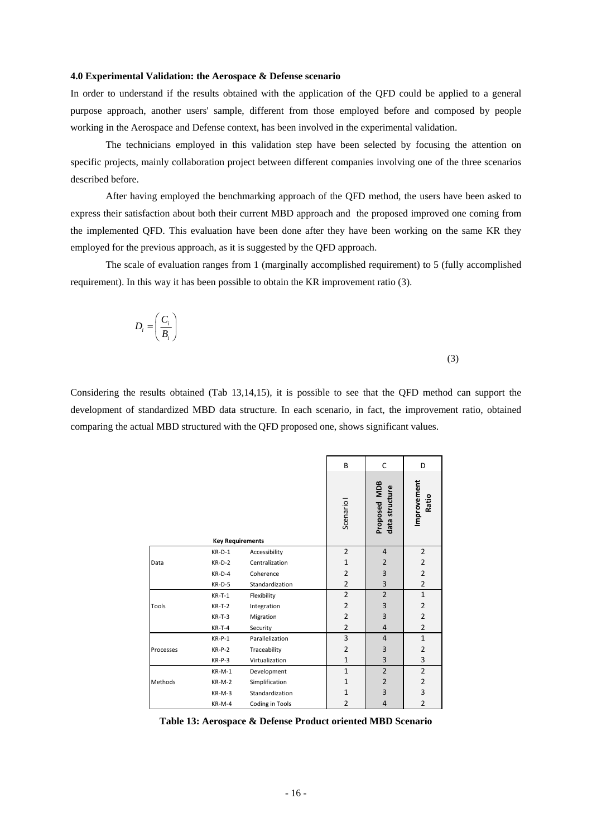### **4.0 Experimental Validation: the Aerospace & Defense scenario**

In order to understand if the results obtained with the application of the QFD could be applied to a general purpose approach, another users' sample, different from those employed before and composed by people working in the Aerospace and Defense context, has been involved in the experimental validation.

 The technicians employed in this validation step have been selected by focusing the attention on specific projects, mainly collaboration project between different companies involving one of the three scenarios described before.

After having employed the benchmarking approach of the QFD method, the users have been asked to express their satisfaction about both their current MBD approach and the proposed improved one coming from the implemented QFD. This evaluation have been done after they have been working on the same KR they employed for the previous approach, as it is suggested by the QFD approach.

The scale of evaluation ranges from 1 (marginally accomplished requirement) to 5 (fully accomplished requirement). In this way it has been possible to obtain the KR improvement ratio (3).

$$
D_i = \left(\frac{C_i}{B_i}\right)
$$

(3)

Considering the results obtained (Tab 13,14,15), it is possible to see that the QFD method can support the development of standardized MBD data structure. In each scenario, in fact, the improvement ratio, obtained comparing the actual MBD structured with the QFD proposed one, shows significant values.

|           |                         |                 | B              | C                              | D                    |
|-----------|-------------------------|-----------------|----------------|--------------------------------|----------------------|
|           | <b>Key Requirements</b> |                 | Scenario       | Proposed MDB<br>data structure | Improvement<br>Ratio |
|           | $KR-D-1$                | Accessibility   | $\overline{2}$ | 4                              | $\overline{2}$       |
| Data      | $KR-D-2$                | Centralization  | 1              | 2                              | $\overline{2}$       |
|           | $KR-D-4$                | Coherence       | $\overline{2}$ | 3                              | $\overline{2}$       |
|           | $KR-D-5$                | Standardization | $\overline{2}$ | 3                              | $\overline{2}$       |
|           | $KR-T-1$                | Flexibility     | $\overline{2}$ | $\overline{2}$                 | $\mathbf{1}$         |
| Tools     | $KR-T-2$                | Integration     | $\overline{2}$ | 3                              | 2                    |
|           | $KR-T-3$                | Migration       | $\overline{2}$ | 3                              | $\overline{2}$       |
|           | $KR-T-4$                | Security        | $\overline{2}$ | $\overline{4}$                 | 2                    |
|           | $KR-P-1$                | Parallelization | 3              | $\overline{4}$                 | $\mathbf{1}$         |
| Processes | $KR-P-2$                | Traceability    | $\overline{2}$ | 3                              | $\overline{2}$       |
|           | $KR-P-3$                | Virtualization  | $\mathbf{1}$   | 3                              | 3                    |
|           | $KR-M-1$                | Development     | $\mathbf{1}$   | $\overline{2}$                 | $\overline{2}$       |
| Methods   | $KR-M-2$                | Simplification  | $\mathbf{1}$   | $\overline{2}$                 | 2                    |
|           | $KR-M-3$                | Standardization | 1              | 3                              | 3                    |
|           | KR-M-4                  | Coding in Tools | $\overline{2}$ | $\overline{4}$                 | $\overline{2}$       |

**Table 13: Aerospace & Defense Product oriented MBD Scenario**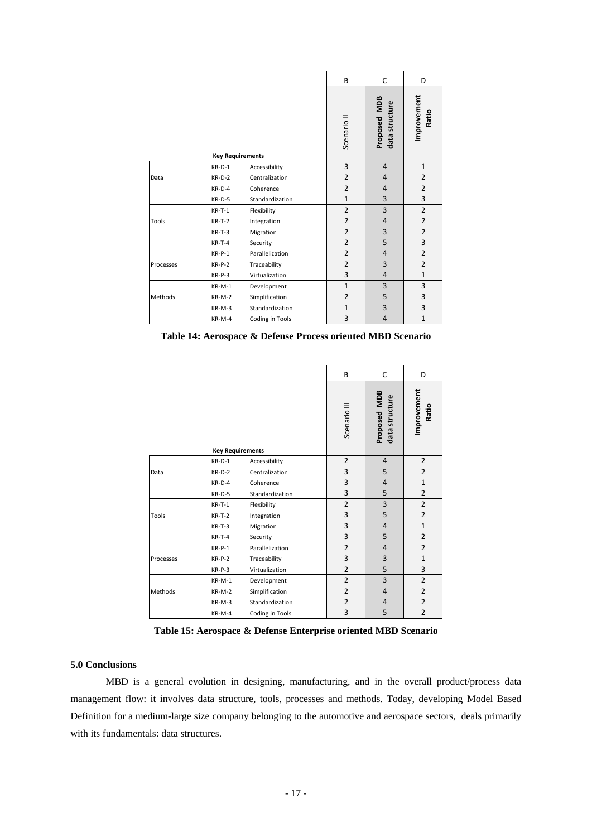|              |                         |                 | B                      | C                              | D                    |
|--------------|-------------------------|-----------------|------------------------|--------------------------------|----------------------|
|              | <b>Key Requirements</b> |                 | Scenario <sup>II</sup> | Proposed MDB<br>data structure | Improvement<br>Ratio |
|              | $KR-D-1$                | Accessibility   | 3                      | $\overline{4}$                 | $\mathbf{1}$         |
| Data         | $KR-D-2$                | Centralization  | $\overline{2}$         | $\overline{4}$                 | $\overline{2}$       |
|              | $KR-D-4$                | Coherence       | $\overline{2}$         | $\overline{4}$                 | $\overline{2}$       |
|              | $KR-D-5$                | Standardization | $\mathbf{1}$           | 3                              | 3                    |
|              | $KR-T-1$                | Flexibility     | $\overline{2}$         | 3                              | $\overline{2}$       |
| <b>Tools</b> | $KR-T-2$                | Integration     | $\overline{2}$         | 4                              | $\overline{2}$       |
|              | $KR-T-3$                | Migration       | $\overline{2}$         | 3                              | $\overline{2}$       |
|              | $KR-T-4$                | Security        | $\overline{2}$         | 5                              | 3                    |
|              | $KR-P-1$                | Parallelization | $\overline{2}$         | $\overline{4}$                 | $\overline{2}$       |
| Processes    | $KR-P-2$                | Traceability    | $\overline{2}$         | 3                              | $\overline{2}$       |
|              | $KR-P-3$                | Virtualization  | 3                      | $\overline{4}$                 | $\mathbf{1}$         |
|              | $KR-M-1$                | Development     | $\mathbf{1}$           | 3                              | 3                    |
| Methods      | $KR-M-2$                | Simplification  | 2                      | 5                              | 3                    |
|              | $KR-M-3$                | Standardization | $\mathbf{1}$           | 3                              | 3                    |
|              | KR-M-4                  | Coding in Tools | 3                      | $\overline{4}$                 | $\mathbf{1}$         |

**Table 14: Aerospace & Defense Process oriented MBD Scenario** 

|           |                         |                 | B              | C                              | D                    |
|-----------|-------------------------|-----------------|----------------|--------------------------------|----------------------|
|           | <b>Key Requirements</b> |                 | Scenario III   | Proposed MDB<br>data structure | Improvement<br>Ratio |
|           | $KR-D-1$                | Accessibility   | $\overline{2}$ | $\overline{4}$                 | $\overline{2}$       |
| Data      | $KR-D-2$                | Centralization  | 3              | 5                              | 2                    |
|           | $KR-D-4$                | Coherence       | 3              | 4                              | $\mathbf{1}$         |
|           | $KR-D-5$                | Standardization | 3              | 5                              | $\overline{2}$       |
|           | $KR-T-1$                | Flexibility     | $\overline{2}$ | 3                              | $\overline{2}$       |
| Tools     | $KR-T-2$                | Integration     | 3              | 5                              | $\overline{2}$       |
|           | $KR-T-3$                | Migration       | 3              | $\overline{4}$                 | $\mathbf{1}$         |
|           | $KR-T-4$                | Security        | 3              | 5                              | $\overline{2}$       |
|           | $KR-P-1$                | Parallelization | $\overline{2}$ | $\overline{4}$                 | $\overline{2}$       |
| Processes | $KR-P-2$                | Traceability    | 3              | 3                              | $\mathbf{1}$         |
|           | $KR-P-3$                | Virtualization  | $\overline{2}$ | 5                              | 3                    |
| Methods   | $KR-M-1$                | Development     | $\overline{2}$ | 3                              | $\overline{2}$       |
|           | $KR-M-2$                | Simplification  | $\overline{2}$ | $\overline{4}$                 | $\overline{2}$       |
|           | $KR-M-3$                | Standardization | $\overline{2}$ | $\overline{4}$                 | $\overline{2}$       |
|           | KR-M-4                  | Coding in Tools | 3              | 5                              | 2                    |

**Table 15: Aerospace & Defense Enterprise oriented MBD Scenario** 

### **5.0 Conclusions**

MBD is a general evolution in designing, manufacturing, and in the overall product/process data management flow: it involves data structure, tools, processes and methods. Today, developing Model Based Definition for a medium-large size company belonging to the automotive and aerospace sectors, deals primarily with its fundamentals: data structures.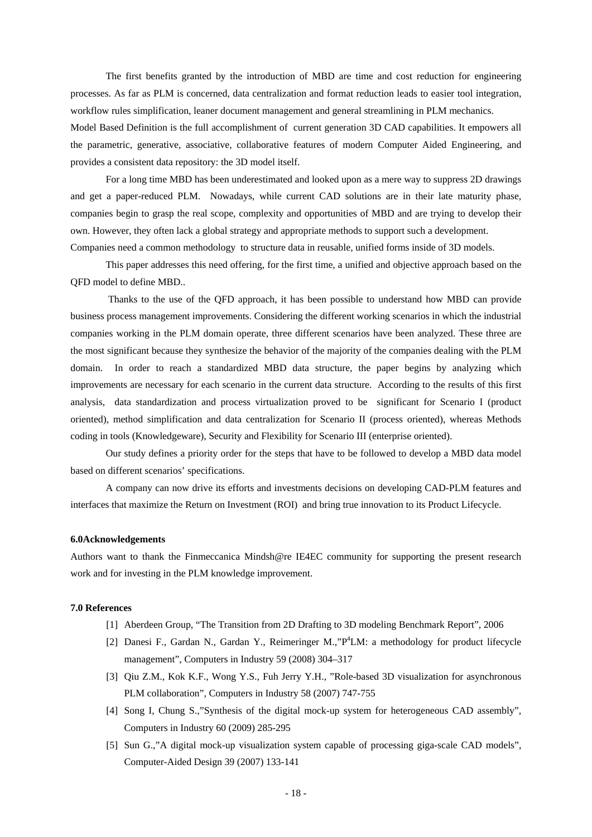The first benefits granted by the introduction of MBD are time and cost reduction for engineering processes. As far as PLM is concerned, data centralization and format reduction leads to easier tool integration, workflow rules simplification, leaner document management and general streamlining in PLM mechanics. Model Based Definition is the full accomplishment of current generation 3D CAD capabilities. It empowers all the parametric, generative, associative, collaborative features of modern Computer Aided Engineering, and provides a consistent data repository: the 3D model itself.

For a long time MBD has been underestimated and looked upon as a mere way to suppress 2D drawings and get a paper-reduced PLM. Nowadays, while current CAD solutions are in their late maturity phase, companies begin to grasp the real scope, complexity and opportunities of MBD and are trying to develop their own. However, they often lack a global strategy and appropriate methods to support such a development. Companies need a common methodology to structure data in reusable, unified forms inside of 3D models.

This paper addresses this need offering, for the first time, a unified and objective approach based on the QFD model to define MBD..

 Thanks to the use of the QFD approach, it has been possible to understand how MBD can provide business process management improvements. Considering the different working scenarios in which the industrial companies working in the PLM domain operate, three different scenarios have been analyzed. These three are the most significant because they synthesize the behavior of the majority of the companies dealing with the PLM domain. In order to reach a standardized MBD data structure, the paper begins by analyzing which improvements are necessary for each scenario in the current data structure. According to the results of this first analysis, data standardization and process virtualization proved to be significant for Scenario I (product oriented), method simplification and data centralization for Scenario II (process oriented), whereas Methods coding in tools (Knowledgeware), Security and Flexibility for Scenario III (enterprise oriented).

Our study defines a priority order for the steps that have to be followed to develop a MBD data model based on different scenarios' specifications.

A company can now drive its efforts and investments decisions on developing CAD-PLM features and interfaces that maximize the Return on Investment (ROI) and bring true innovation to its Product Lifecycle.

## **6.0Acknowledgements**

Authors want to thank the Finmeccanica Mindsh@re IE4EC community for supporting the present research work and for investing in the PLM knowledge improvement.

### **7.0 References**

- [1] Aberdeen Group, "The Transition from 2D Drafting to 3D modeling Benchmark Report", 2006
- [2] Danesi F., Gardan N., Gardan Y., Reimeringer M.,"P<sup>4</sup>LM: a methodology for product lifecycle management", Computers in Industry 59 (2008) 304–317
- [3] Qiu Z.M., Kok K.F., Wong Y.S., Fuh Jerry Y.H., "Role-based 3D visualization for asynchronous PLM collaboration", Computers in Industry 58 (2007) 747-755
- [4] Song I, Chung S.,"Synthesis of the digital mock-up system for heterogeneous CAD assembly", Computers in Industry 60 (2009) 285-295
- [5] Sun G.,"A digital mock-up visualization system capable of processing giga-scale CAD models", Computer-Aided Design 39 (2007) 133-141